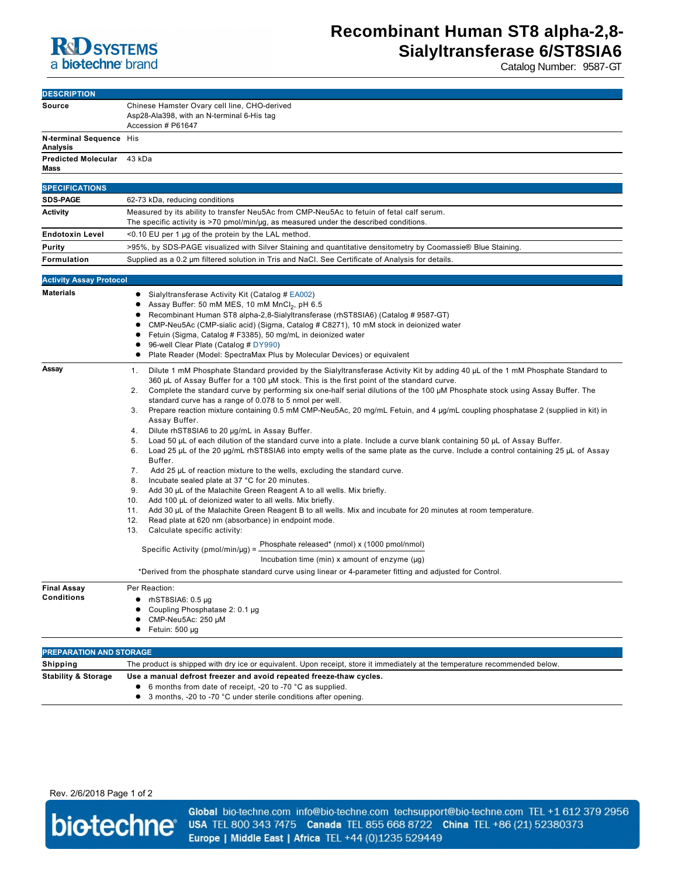

Catalog Number: 9587-GT

| <b>DESCRIPTION</b>                         |                                                                                                                                                                                          |
|--------------------------------------------|------------------------------------------------------------------------------------------------------------------------------------------------------------------------------------------|
| Source                                     | Chinese Hamster Ovary cell line, CHO-derived<br>Asp28-Ala398, with an N-terminal 6-His tag<br>Accession # P61647                                                                         |
| N-terminal Sequence His<br><b>Analysis</b> |                                                                                                                                                                                          |
| <b>Predicted Molecular</b><br>Mass         | 43 kDa                                                                                                                                                                                   |
|                                            |                                                                                                                                                                                          |
| <b>SPECIFICATIONS</b>                      |                                                                                                                                                                                          |
| <b>SDS-PAGE</b>                            | 62-73 kDa, reducing conditions                                                                                                                                                           |
| <b>Activity</b>                            | Measured by its ability to transfer Neu5Ac from CMP-Neu5Ac to fetuin of fetal calf serum.<br>The specific activity is >70 pmol/min/µg, as measured under the described conditions.       |
| <b>Endotoxin Level</b>                     | <0.10 EU per 1 µg of the protein by the LAL method.                                                                                                                                      |
|                                            |                                                                                                                                                                                          |
| Purity                                     | >95%, by SDS-PAGE visualized with Silver Staining and quantitative densitometry by Coomassie® Blue Staining.                                                                             |
| Formulation                                | Supplied as a 0.2 µm filtered solution in Tris and NaCl. See Certificate of Analysis for details.                                                                                        |
| <b>Activity Assay Protocol</b>             |                                                                                                                                                                                          |
| <b>Materials</b>                           | • Sialyltransferase Activity Kit (Catalog # EA002)                                                                                                                                       |
|                                            | Assay Buffer: 50 mM MES, 10 mM MnCl <sub>2</sub> , pH 6.5                                                                                                                                |
|                                            | Recombinant Human ST8 alpha-2,8-Sialyltransferase (rhST8SIA6) (Catalog # 9587-GT)                                                                                                        |
|                                            | CMP-Neu5Ac (CMP-sialic acid) (Sigma, Catalog # C8271), 10 mM stock in deionized water                                                                                                    |
|                                            | Fetuin (Sigma, Catalog # F3385), 50 mg/mL in deionized water                                                                                                                             |
|                                            | 96-well Clear Plate (Catalog # DY990)<br>Plate Reader (Model: SpectraMax Plus by Molecular Devices) or equivalent                                                                        |
|                                            |                                                                                                                                                                                          |
| Assay                                      | Dilute 1 mM Phosphate Standard provided by the Sialyltransferase Activity Kit by adding 40 µL of the 1 mM Phosphate Standard to<br>1.                                                    |
|                                            | 360 $\mu$ L of Assay Buffer for a 100 $\mu$ M stock. This is the first point of the standard curve.<br>2.                                                                                |
|                                            | Complete the standard curve by performing six one-half serial dilutions of the 100 µM Phosphate stock using Assay Buffer. The<br>standard curve has a range of 0.078 to 5 nmol per well. |
|                                            | Prepare reaction mixture containing 0.5 mM CMP-Neu5Ac, 20 mg/mL Fetuin, and 4 µg/mL coupling phosphatase 2 (supplied in kit) in<br>3.                                                    |
|                                            | Assay Buffer.                                                                                                                                                                            |
|                                            | 4. Dilute rhST8SIA6 to 20 µg/mL in Assay Buffer.                                                                                                                                         |
|                                            | Load 50 µL of each dilution of the standard curve into a plate. Include a curve blank containing 50 µL of Assay Buffer.<br>5.                                                            |
|                                            | Load 25 $\mu$ L of the 20 $\mu$ g/mL rhST8SIA6 into empty wells of the same plate as the curve. Include a control containing 25 $\mu$ L of Assay<br>6.<br>Buffer.                        |
|                                            | 7.<br>Add 25 µL of reaction mixture to the wells, excluding the standard curve.                                                                                                          |
|                                            | 8.<br>Incubate sealed plate at 37 °C for 20 minutes.                                                                                                                                     |
|                                            | 9.<br>Add 30 µL of the Malachite Green Reagent A to all wells. Mix briefly.                                                                                                              |
|                                            | Add 100 µL of deionized water to all wells. Mix briefly.<br>10.                                                                                                                          |
|                                            | Add 30 µL of the Malachite Green Reagent B to all wells. Mix and incubate for 20 minutes at room temperature.<br>11.<br>12.<br>Read plate at 620 nm (absorbance) in endpoint mode.       |
|                                            | 13.<br>Calculate specific activity:                                                                                                                                                      |
|                                            | Phosphate released* (nmol) x (1000 pmol/nmol)<br>Specific Activity (pmol/min/µg) =                                                                                                       |
|                                            | Incubation time (min) x amount of enzyme $(\mu g)$                                                                                                                                       |
|                                            | *Derived from the phosphate standard curve using linear or 4-parameter fitting and adjusted for Control.                                                                                 |
| <b>Final Assay</b><br><b>Conditions</b>    | Per Reaction:                                                                                                                                                                            |
|                                            | $\bullet$<br>rhST8SIA6: 0.5 µg                                                                                                                                                           |
|                                            | Coupling Phosphatase 2: 0.1 µg<br>٠                                                                                                                                                      |
|                                            | CMP-Neu5Ac: 250 µM<br>٠                                                                                                                                                                  |
|                                            | Fetuin: 500 µg                                                                                                                                                                           |
| <b>PREPARATION AND STORAGE</b>             |                                                                                                                                                                                          |
| Shipping                                   | The product is shipped with dry ice or equivalent. Upon receipt, store it immediately at the temperature recommended below.                                                              |
| <b>Stability &amp; Storage</b>             | Use a manual defrost freezer and avoid repeated freeze-thaw cycles.                                                                                                                      |
|                                            | • 6 months from date of receipt, -20 to -70 °C as supplied.                                                                                                                              |
|                                            | • 3 months, -20 to -70 °C under sterile conditions after opening.                                                                                                                        |